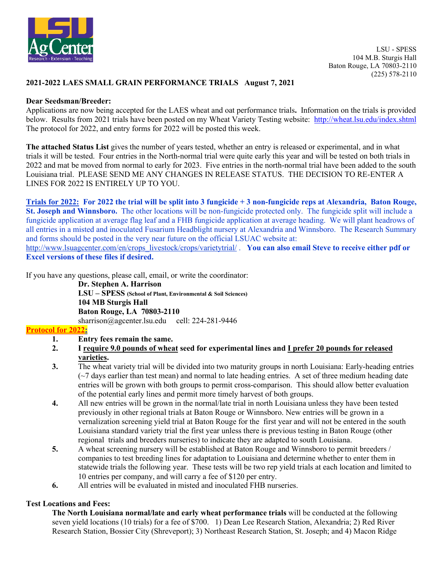

### **2021-2022 LAES SMALL GRAIN PERFORMANCE TRIALS August 7, 2021**

#### **Dear Seedsman/Breeder:**

Applications are now being accepted for the LAES wheat and oat performance trials**.** Information on the trials is provided below. Results from 2021 trials have been posted on my Wheat Variety Testing website: <http://wheat.lsu.edu/index.shtml> The protocol for 2022, and entry forms for 2022 will be posted this week.

**The attached Status List** gives the number of years tested, whether an entry is released or experimental, and in what trials it will be tested. Four entries in the North-normal trial were quite early this year and will be tested on both trials in 2022 and mat be moved from normal to early for 2023. Five entries in the north-normal trial have been added to the south Louisiana trial. PLEASE SEND ME ANY CHANGES IN RELEASE STATUS. THE DECISION TO RE-ENTER A LINES FOR 2022 IS ENTIRELY UP TO YOU.

**Trials for 2022: For 2022 the trial will be split into 3 fungicide + 3 non-fungicide reps at Alexandria, Baton Rouge, St. Joseph and Winnsboro.** The other locations will be non-fungicide protected only. The fungicide split will include a fungicide application at average flag leaf and a FHB fungicide application at average heading. We will plant headrows of all entries in a misted and inoculated Fusarium Headblight nursery at Alexandria and Winnsboro. The Research Summary and forms should be posted in the very near future on the official LSUAC website at:

[http://www.lsuagcenter.com/en/crops\\_livestock/crops/varietytrial/](http://www.lsuagcenter.com/en/crops_livestock/crops/varietytrial/) . **You can also email Steve to receive either pdf or Excel versions of these files if desired.**

If you have any questions, please call, email, or write the coordinator:

**Dr. Stephen A. Harrison LSU – SPESS (School of Plant, Environmental & Soil Sciences) 104 MB Sturgis Hall Baton Rouge, LA 70803-2110** sharrison@agcenter.lsu.edu cell: 224-281-9446

#### **Protocol for 2022:**

- **1. Entry fees remain the same.**
- **2. I require 9.0 pounds of wheat seed for experimental lines and I prefer 20 pounds for released varieties.**
- **3.** The wheat variety trial will be divided into two maturity groups in north Louisiana: Early-heading entries  $(\sim)$  days earlier than test mean) and normal to late heading entries. A set of three medium heading date entries will be grown with both groups to permit cross-comparison. This should allow better evaluation of the potential early lines and permit more timely harvest of both groups.
- **4.** All new entries will be grown in the normal/late trial in north Louisiana unless they have been tested previously in other regional trials at Baton Rouge or Winnsboro. New entries will be grown in a vernalization screening yield trial at Baton Rouge for the first year and will not be entered in the south Louisiana standard variety trial the first year unless there is previous testing in Baton Rouge (other regional trials and breeders nurseries) to indicate they are adapted to south Louisiana.
- **5.** A wheat screening nursery will be established at Baton Rouge and Winnsboro to permit breeders / companies to test breeding lines for adaptation to Louisiana and determine whether to enter them in statewide trials the following year. These tests will be two rep yield trials at each location and limited to 10 entries per company, and will carry a fee of \$120 per entry.
- **6.** All entries will be evaluated in misted and inoculated FHB nurseries.

# **Test Locations and Fees:**

**The North Louisiana normal/late and early wheat performance trials** will be conducted at the following seven yield locations (10 trials) for a fee of \$700. 1) Dean Lee Research Station, Alexandria; 2) Red River Research Station, Bossier City (Shreveport); 3) Northeast Research Station, St. Joseph; and 4) Macon Ridge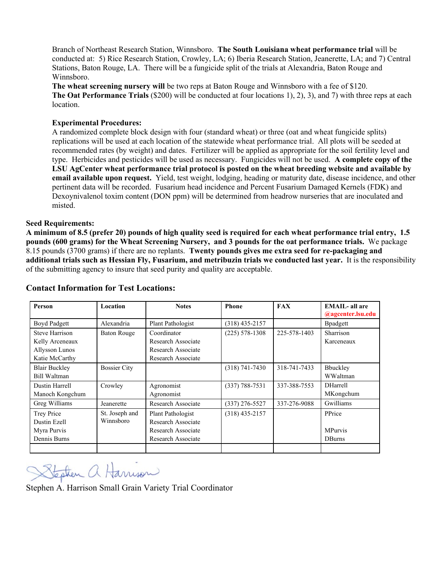Branch of Northeast Research Station, Winnsboro. **The South Louisiana wheat performance trial** will be conducted at: 5) Rice Research Station, Crowley, LA; 6) Iberia Research Station, Jeanerette, LA; and 7) Central Stations, Baton Rouge, LA. There will be a fungicide split of the trials at Alexandria, Baton Rouge and Winnsboro.

**The wheat screening nursery will** be two reps at Baton Rouge and Winnsboro with a fee of \$120. **The Oat Performance Trials** (\$200) will be conducted at four locations 1), 2), 3), and 7) with three reps at each location.

#### **Experimental Procedures:**

A randomized complete block design with four (standard wheat) or three (oat and wheat fungicide splits) replications will be used at each location of the statewide wheat performance trial. All plots will be seeded at recommended rates (by weight) and dates. Fertilizer will be applied as appropriate for the soil fertility level and type. Herbicides and pesticides will be used as necessary. Fungicides will not be used. **A complete copy of the LSU AgCenter wheat performance trial protocol is posted on the wheat breeding website and available by email available upon request.** Yield, test weight, lodging, heading or maturity date, disease incidence, and other pertinent data will be recorded. Fusarium head incidence and Percent Fusarium Damaged Kernels (FDK) and Dexoynivalenol toxim content (DON ppm) will be determined from headrow nurseries that are inoculated and misted.

#### **Seed Requirements:**

**A minimum of 8.5 (prefer 20) pounds of high quality seed is required for each wheat performance trial entry, 1.5 pounds (600 grams) for the Wheat Screening Nursery, and 3 pounds for the oat performance trials.** We package 8.15 pounds (3700 grams) if there are no replants. **Twenty pounds gives me extra seed for re-packaging and additional trials such as Hessian Fly, Fusarium, and metribuzin trials we conducted last year.** It is the responsibility of the submitting agency to insure that seed purity and quality are acceptable.

| Person                                                                       | Location                    | <b>Notes</b>                                                                        | <b>Phone</b>       | <b>FAX</b>   | <b>EMAIL-</b> all are<br>@agcenter.lsu.edu |
|------------------------------------------------------------------------------|-----------------------------|-------------------------------------------------------------------------------------|--------------------|--------------|--------------------------------------------|
| Boyd Padgett                                                                 | Alexandria                  | Plant Pathologist                                                                   | $(318)$ 435-2157   |              | <b>B</b> padgett                           |
| <b>Steve Harrison</b><br>Kelly Arceneaux<br>Allysson Lunos<br>Katie McCarthy | <b>Baton Rouge</b>          | Coordinator<br>Research Associate<br>Research Associate<br>Research Associate       | $(225) 578 - 1308$ | 225-578-1403 | Sharrison<br>Karceneaux                    |
| <b>Blair Buckley</b><br>Bill Waltman                                         | <b>Bossier City</b>         |                                                                                     | $(318) 741 - 7430$ | 318-741-7433 | Bbuckley<br>WWaltman                       |
| Dustin Harrell<br>Manoch Kongchum                                            | Crowley                     | Agronomist<br>Agronomist                                                            | $(337) 788 - 7531$ | 337-388-7553 | <b>DHarrell</b><br>MKongchum               |
| Greg Williams                                                                | Jeanerette                  | Research Associate                                                                  | $(337)$ 276-5527   | 337-276-9088 | Gwilliams                                  |
| Trey Price<br>Dustin Ezell<br>Myra Purvis<br>Dennis Burns                    | St. Joseph and<br>Winnsboro | Plant Pathologist<br>Research Associate<br>Research Associate<br>Research Associate | $(318)$ 435-2157   |              | PPrice<br><b>MPurvis</b><br><b>D</b> Burns |
|                                                                              |                             |                                                                                     |                    |              |                                            |

# **Contact Information for Test Locations:**

Stephen a Harrison

Stephen A. Harrison Small Grain Variety Trial Coordinator